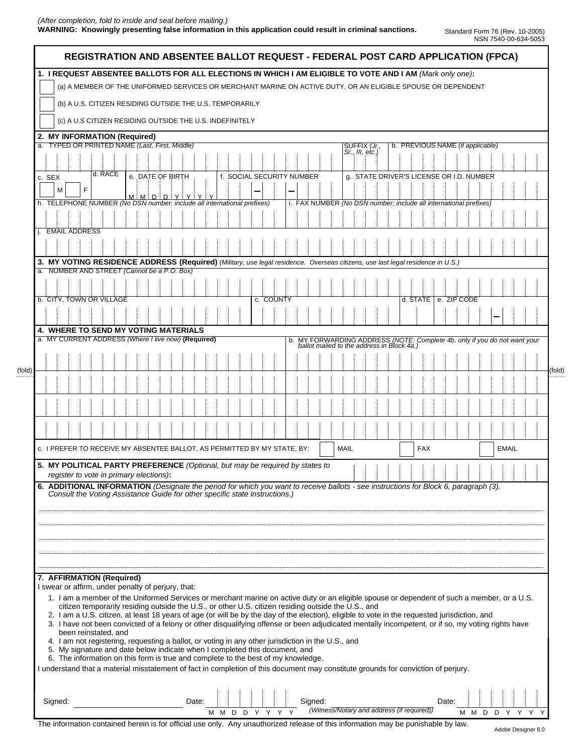## *(After completion, fold to inside and seal before mailing.)*  **WARNING: Knowingly presenting false information in this application could result in criminal sanctions.** Standard Form 76 (Rev. 10-2005)

|        | (a) A MEMBER OF THE UNIFORMED SERVICES OR MERCHANT MARINE ON ACTIVE DUTY, OR AN ELIGIBLE SPOUSE OR DEPENDENT                                                                                                                                         |
|--------|------------------------------------------------------------------------------------------------------------------------------------------------------------------------------------------------------------------------------------------------------|
|        | (b) A U.S. CITIZEN RESIDING OUTSIDE THE U.S. TEMPORARILY                                                                                                                                                                                             |
|        | (c) A U.S CITIZEN RESIDING OUTSIDE THE U.S. INDEFINITELY                                                                                                                                                                                             |
|        | 2. MY INFORMATION (Required)                                                                                                                                                                                                                         |
|        | <b>TYPED OR PRINTED NAME (Last, First, Middle)</b><br>b. PREVIOUS NAME (if applicable)<br>SUFFIX (Jr.,<br>$Sr., III, etc.$ )                                                                                                                         |
|        |                                                                                                                                                                                                                                                      |
| c. SEX | d. RACE<br>e. DATE OF BIRTH<br>f. SOCIAL SECURITY NUMBER<br>g. STATE DRIVER'S LICENSE OR I.D. NUMBER                                                                                                                                                 |
|        | F                                                                                                                                                                                                                                                    |
|        | M M D D Y Y Y Y<br>h. TELEPHONE NUMBER (No DSN number; include all international prefixes)<br>i. FAX NUMBER (No DSN number; include all international prefixes)                                                                                      |
|        |                                                                                                                                                                                                                                                      |
|        | <b>EMAIL ADDRESS</b>                                                                                                                                                                                                                                 |
|        |                                                                                                                                                                                                                                                      |
|        | 3. MY VOTING RESIDENCE ADDRESS (Required) (Military, use legal residence. Overseas citizens, use last legal residence in U.S.)                                                                                                                       |
|        | a. NUMBER AND STREET (Cannot be a P.O. Box)                                                                                                                                                                                                          |
|        |                                                                                                                                                                                                                                                      |
|        | b. CITY, TOWN OR VILLAGE<br>d. STATE   e. ZIP CODE<br>c. COUNTY                                                                                                                                                                                      |
|        |                                                                                                                                                                                                                                                      |
|        | <b>4. WHERE TO SEND MY VOTING MATERIALS</b>                                                                                                                                                                                                          |
|        | a. MY CURRENT ADDRESS (Where I live now) (Required)<br>b. MY FORWARDING ADDRESS (NOTE: Complete 4b. only if you do not want your ballot mailed to the address in Block 4a.)                                                                          |
|        |                                                                                                                                                                                                                                                      |
|        |                                                                                                                                                                                                                                                      |
|        |                                                                                                                                                                                                                                                      |
|        |                                                                                                                                                                                                                                                      |
|        |                                                                                                                                                                                                                                                      |
|        |                                                                                                                                                                                                                                                      |
|        |                                                                                                                                                                                                                                                      |
|        | c. I PREFER TO RECEIVE MY ABSENTEE BALLOT, AS PERMITTED BY MY STATE, BY:<br><b>MAIL</b><br><b>FAX</b><br><b>EMAIL</b>                                                                                                                                |
|        | 5. MY POLITICAL PARTY PREFERENCE (Optional, but may be required by states to                                                                                                                                                                         |
|        | register to vote in primary elections):<br>6. ADDITIONAL INFORMATION (Designate the period for which you want to receive ballots - see instructions for Block 6, paragraph (3).                                                                      |
|        | Consult the Voting Assistance Guide for other specific state instructions.)                                                                                                                                                                          |
|        |                                                                                                                                                                                                                                                      |
|        |                                                                                                                                                                                                                                                      |
|        |                                                                                                                                                                                                                                                      |
|        |                                                                                                                                                                                                                                                      |
|        |                                                                                                                                                                                                                                                      |
|        | 7. AFFIRMATION (Required)                                                                                                                                                                                                                            |
|        | I swear or affirm, under penalty of perjury, that:                                                                                                                                                                                                   |
|        | 1. I am a member of the Uniformed Services or merchant marine on active duty or an eligible spouse or dependent of such a member, or a U.S.                                                                                                          |
|        | citizen temporarily residing outside the U.S., or other U.S. citizen residing outside the U.S., and<br>2. I am a U.S. citizen, at least 18 years of age (or will be by the day of the election), eligible to vote in the requested jurisdiction, and |
|        | 3. I have not been convicted of a felony or other disqualifying offense or been adjudicated mentally incompetent, or if so, my voting rights have                                                                                                    |
|        | been reinstated, and                                                                                                                                                                                                                                 |
|        | 4. I am not registering, requesting a ballot, or voting in any other jurisdiction in the U.S., and<br>5. My signature and date below indicate when I completed this document, and                                                                    |
|        |                                                                                                                                                                                                                                                      |
|        | 6. The information on this form is true and complete to the best of my knowledge.                                                                                                                                                                    |
|        | I understand that a material misstatement of fact in completion of this document may constitute grounds for conviction of perjury.                                                                                                                   |

The information contained herein is for official use only. Any unauthorized release of this information may be punishable by law.